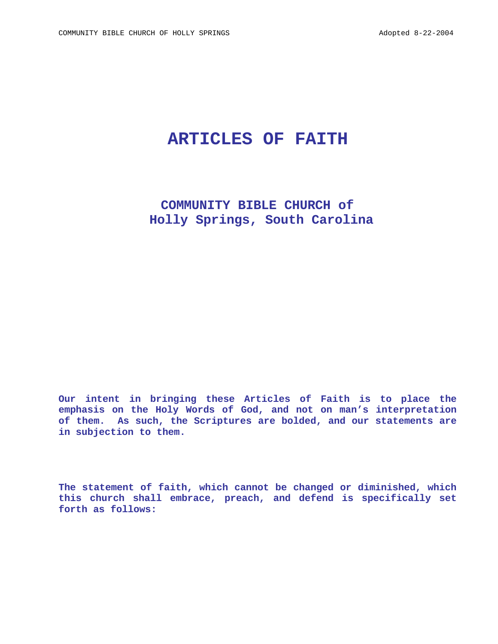# **ARTICLES OF FAITH**

 **COMMUNITY BIBLE CHURCH of Holly Springs, South Carolina** 

**Our intent in bringing these Articles of Faith is to place the emphasis on the Holy Words of God, and not on man's interpretation of them. As such, the Scriptures are bolded, and our statements are in subjection to them.** 

**The statement of faith, which cannot be changed or diminished, which this church shall embrace, preach, and defend is specifically set forth as follows:**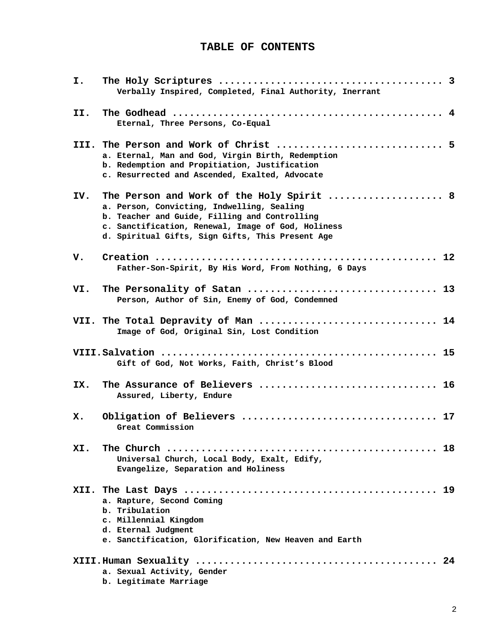# **TABLE OF CONTENTS**

| I.  | Verbally Inspired, Completed, Final Authority, Inerrant                                                                                                                                                                                            |
|-----|----------------------------------------------------------------------------------------------------------------------------------------------------------------------------------------------------------------------------------------------------|
| II. | Eternal, Three Persons, Co-Equal                                                                                                                                                                                                                   |
|     | a. Eternal, Man and God, Virgin Birth, Redemption<br>b. Redemption and Propitiation, Justification<br>c. Resurrected and Ascended, Exalted, Advocate                                                                                               |
| IV. | The Person and Work of the Holy Spirit  8<br>a. Person, Convicting, Indwelling, Sealing<br>b. Teacher and Guide, Filling and Controlling<br>c. Sanctification, Renewal, Image of God, Holiness<br>d. Spiritual Gifts, Sign Gifts, This Present Age |
| v.  | Father-Son-Spirit, By His Word, From Nothing, 6 Days                                                                                                                                                                                               |
| VI. | The Personality of Satan  13<br>Person, Author of Sin, Enemy of God, Condemned                                                                                                                                                                     |
|     | VII. The Total Depravity of Man  14<br>Image of God, Original Sin, Lost Condition                                                                                                                                                                  |
|     | Gift of God, Not Works, Faith, Christ's Blood                                                                                                                                                                                                      |
| IX. | The Assurance of Believers  16<br>Assured, Liberty, Endure                                                                                                                                                                                         |
| х.  | Great Commission                                                                                                                                                                                                                                   |
| XI. | Universal Church, Local Body, Exalt, Edify,<br>Evangelize, Separation and Holiness                                                                                                                                                                 |
|     | a. Rapture, Second Coming<br>b. Tribulation<br>c. Millennial Kingdom<br>d. Eternal Judgment<br>e. Sanctification, Glorification, New Heaven and Earth                                                                                              |
|     | a. Sexual Activity, Gender                                                                                                                                                                                                                         |

**b. Legitimate Marriage**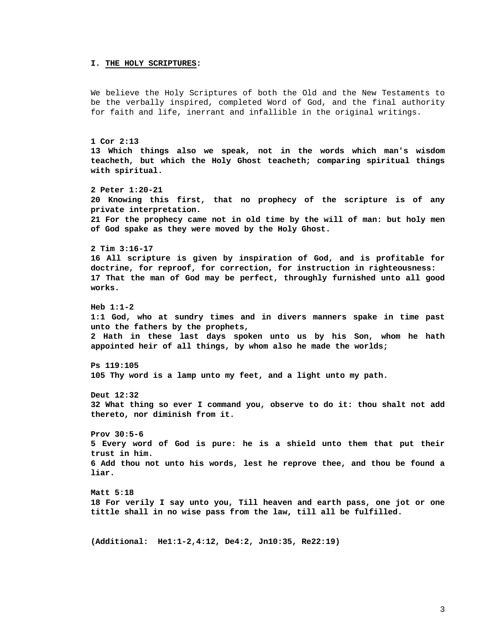#### **I. THE HOLY SCRIPTURES:**

We believe the Holy Scriptures of both the Old and the New Testaments to be the verbally inspired, completed Word of God, and the final authority for faith and life, inerrant and infallible in the original writings.

```
1 Cor 2:13 
13 Which things also we speak, not in the words which man's wisdom 
teacheth, but which the Holy Ghost teacheth; comparing spiritual things 
with spiritual. 
2 Peter 1:20-21 
20 Knowing this first, that no prophecy of the scripture is of any 
private interpretation.
```
**21 For the prophecy came not in old time by the will of man: but holy men of God spake as they were moved by the Holy Ghost.** 

**2 Tim 3:16-17** 

**16 All scripture is given by inspiration of God, and is profitable for doctrine, for reproof, for correction, for instruction in righteousness: 17 That the man of God may be perfect, throughly furnished unto all good works.** 

**Heb 1:1-2 1:1 God, who at sundry times and in divers manners spake in time past unto the fathers by the prophets, 2 Hath in these last days spoken unto us by his Son, whom he hath appointed heir of all things, by whom also he made the worlds;** 

**Ps 119:105 105 Thy word is a lamp unto my feet, and a light unto my path.** 

**Deut 12:32 32 What thing so ever I command you, observe to do it: thou shalt not add thereto, nor diminish from it.** 

**Prov 30:5-6 5 Every word of God is pure: he is a shield unto them that put their trust in him. 6 Add thou not unto his words, lest he reprove thee, and thou be found a liar.** 

**Matt 5:18 18 For verily I say unto you, Till heaven and earth pass, one jot or one tittle shall in no wise pass from the law, till all be fulfilled.** 

**(Additional: He1:1-2,4:12, De4:2, Jn10:35, Re22:19)**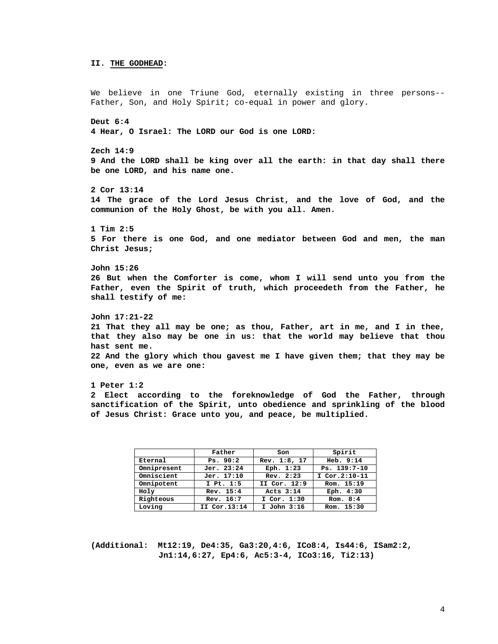### **II. THE GODHEAD:**

We believe in one Triune God, eternally existing in three persons-- Father, Son, and Holy Spirit; co-equal in power and glory. **Deut 6:4 4 Hear, O Israel: The LORD our God is one LORD: Zech 14:9 9 And the LORD shall be king over all the earth: in that day shall there be one LORD, and his name one. 2 Cor 13:14 14 The grace of the Lord Jesus Christ, and the love of God, and the communion of the Holy Ghost, be with you all. Amen. 1 Tim 2:5 5 For there is one God, and one mediator between God and men, the man Christ Jesus; John 15:26 26 But when the Comforter is come, whom I will send unto you from the Father, even the Spirit of truth, which proceedeth from the Father, he shall testify of me: John 17:21-22 21 That they all may be one; as thou, Father, art in me, and I in thee, that they also may be one in us: that the world may believe that thou hast sent me. 22 And the glory which thou gavest me I have given them; that they may be one, even as we are one: 1 Peter 1:2 2 Elect according to the foreknowledge of God the Father, through** 

**sanctification of the Spirit, unto obedience and sprinkling of the blood of Jesus Christ: Grace unto you, and peace, be multiplied.** 

|             | Father       | Son          | Spirit        |
|-------------|--------------|--------------|---------------|
| Eternal     | Ps. 90:2     | Rev. 1:8, 17 | Heb. 9:14     |
| Omnipresent | Jer. 23:24   | Eph. 1:23    | Ps. 139:7-10  |
| Omniscient  | Jer. 17:10   | Rev. 2:23    | I Cor.2:10-11 |
| Omnipotent  | I Pt. 1:5    | II Cor. 12:9 | Rom. 15:19    |
| Holy        | Rev. 15:4    | Acts 3:14    | Eph. 4:30     |
| Righteous   | Rev. 16:7    | I Cor. 1:30  | Rom. $8:4$    |
| Loving      | II Cor.13:14 | I John 3:16  | Rom. 15:30    |

**(Additional: Mt12:19, De4:35, Ga3:20,4:6, ICo8:4, Is44:6, ISam2:2, Jn1:14,6:27, Ep4:6, Ac5:3-4, ICo3:16, Ti2:13)**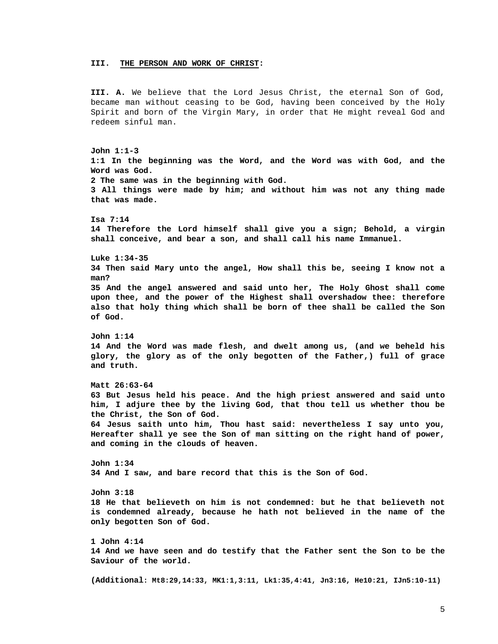#### **III. THE PERSON AND WORK OF CHRIST:**

**III. A.** We believe that the Lord Jesus Christ, the eternal Son of God, became man without ceasing to be God, having been conceived by the Holy Spirit and born of the Virgin Mary, in order that He might reveal God and redeem sinful man.

**John 1:1-3 1:1 In the beginning was the Word, and the Word was with God, and the Word was God. 2 The same was in the beginning with God. 3 All things were made by him; and without him was not any thing made that was made. Isa 7:14 14 Therefore the Lord himself shall give you a sign; Behold, a virgin shall conceive, and bear a son, and shall call his name Immanuel. Luke 1:34-35 34 Then said Mary unto the angel, How shall this be, seeing I know not a man? 35 And the angel answered and said unto her, The Holy Ghost shall come upon thee, and the power of the Highest shall overshadow thee: therefore also that holy thing which shall be born of thee shall be called the Son of God. John 1:14 14 And the Word was made flesh, and dwelt among us, (and we beheld his glory, the glory as of the only begotten of the Father,) full of grace and truth. Matt 26:63-64 63 But Jesus held his peace. And the high priest answered and said unto him, I adjure thee by the living God, that thou tell us whether thou be the Christ, the Son of God. 64 Jesus saith unto him, Thou hast said: nevertheless I say unto you, Hereafter shall ye see the Son of man sitting on the right hand of power, and coming in the clouds of heaven. John 1:34 34 And I saw, and bare record that this is the Son of God. John 3:18 18 He that believeth on him is not condemned: but he that believeth not is condemned already, because he hath not believed in the name of the only begotten Son of God. 1 John 4:14 14 And we have seen and do testify that the Father sent the Son to be the Saviour of the world. (Additional: Mt8:29,14:33, MK1:1,3:11, Lk1:35,4:41, Jn3:16, He10:21, IJn5:10-11)**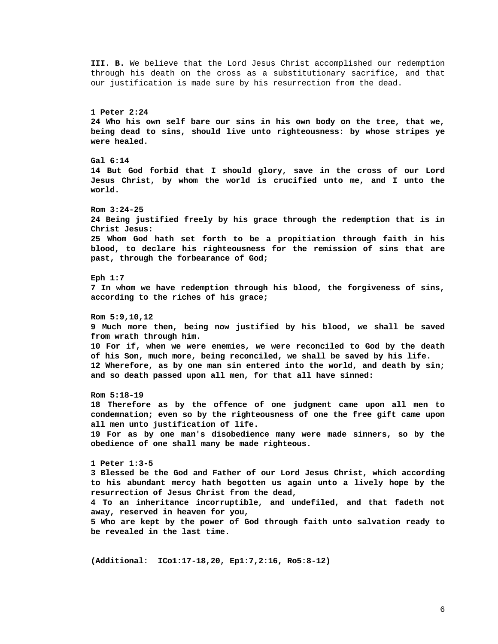**III. B.** We believe that the Lord Jesus Christ accomplished our redemption through his death on the cross as a substitutionary sacrifice, and that our justification is made sure by his resurrection from the dead. **1 Peter 2:24 24 Who his own self bare our sins in his own body on the tree, that we, being dead to sins, should live unto righteousness: by whose stripes ye were healed. Gal 6:14 14 But God forbid that I should glory, save in the cross of our Lord Jesus Christ, by whom the world is crucified unto me, and I unto the world. Rom 3:24-25 24 Being justified freely by his grace through the redemption that is in Christ Jesus: 25 Whom God hath set forth to be a propitiation through faith in his blood, to declare his righteousness for the remission of sins that are past, through the forbearance of God; Eph 1:7 7 In whom we have redemption through his blood, the forgiveness of sins, according to the riches of his grace; Rom 5:9,10,12 9 Much more then, being now justified by his blood, we shall be saved from wrath through him. 10 For if, when we were enemies, we were reconciled to God by the death of his Son, much more, being reconciled, we shall be saved by his life. 12 Wherefore, as by one man sin entered into the world, and death by sin; and so death passed upon all men, for that all have sinned: Rom 5:18-19 18 Therefore as by the offence of one judgment came upon all men to condemnation; even so by the righteousness of one the free gift came upon all men unto justification of life. 19 For as by one man's disobedience many were made sinners, so by the obedience of one shall many be made righteous. 1 Peter 1:3-5 3 Blessed be the God and Father of our Lord Jesus Christ, which according to his abundant mercy hath begotten us again unto a lively hope by the resurrection of Jesus Christ from the dead, 4 To an inheritance incorruptible, and undefiled, and that fadeth not away, reserved in heaven for you, 5 Who are kept by the power of God through faith unto salvation ready to be revealed in the last time.** 

**(Additional: ICo1:17-18,20, Ep1:7,2:16, Ro5:8-12)**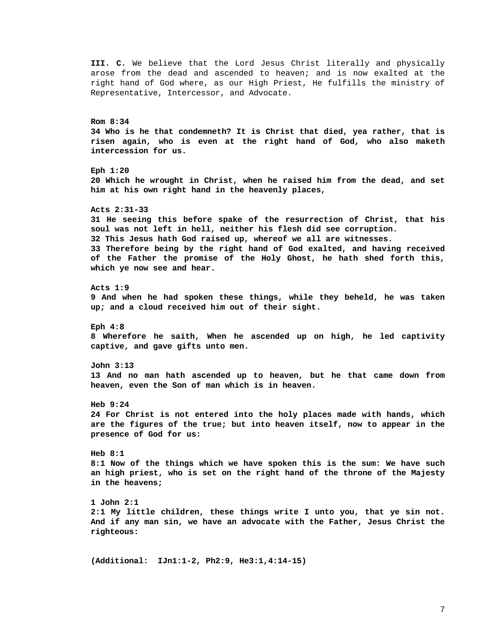**III. C.** We believe that the Lord Jesus Christ literally and physically arose from the dead and ascended to heaven; and is now exalted at the right hand of God where, as our High Priest, He fulfills the ministry of Representative, Intercessor, and Advocate. **Rom 8:34 34 Who is he that condemneth? It is Christ that died, yea rather, that is risen again, who is even at the right hand of God, who also maketh intercession for us. Eph 1:20 20 Which he wrought in Christ, when he raised him from the dead, and set him at his own right hand in the heavenly places, Acts 2:31-33 31 He seeing this before spake of the resurrection of Christ, that his soul was not left in hell, neither his flesh did see corruption. 32 This Jesus hath God raised up, whereof we all are witnesses. 33 Therefore being by the right hand of God exalted, and having received of the Father the promise of the Holy Ghost, he hath shed forth this, which ye now see and hear. Acts 1:9 9 And when he had spoken these things, while they beheld, he was taken up; and a cloud received him out of their sight. Eph 4:8 8 Wherefore he saith, When he ascended up on high, he led captivity captive, and gave gifts unto men. John 3:13 13 And no man hath ascended up to heaven, but he that came down from heaven, even the Son of man which is in heaven. Heb 9:24 24 For Christ is not entered into the holy places made with hands, which are the figures of the true; but into heaven itself, now to appear in the presence of God for us: Heb 8:1 8:1 Now of the things which we have spoken this is the sum: We have such an high priest, who is set on the right hand of the throne of the Majesty in the heavens; 1 John 2:1 2:1 My little children, these things write I unto you, that ye sin not. And if any man sin, we have an advocate with the Father, Jesus Christ the righteous: (Additional: IJn1:1-2, Ph2:9, He3:1,4:14-15)**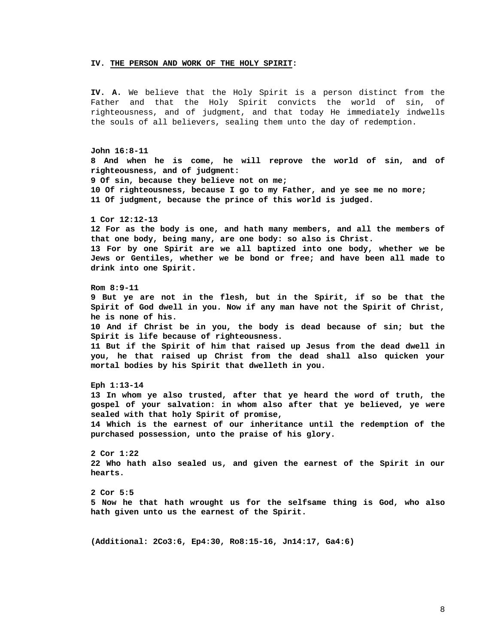#### **IV. THE PERSON AND WORK OF THE HOLY SPIRIT:**

**IV. A.** We believe that the Holy Spirit is a person distinct from the Father and that the Holy Spirit convicts the world of sin, of righteousness, and of judgment, and that today He immediately indwells the souls of all believers, sealing them unto the day of redemption.

**John 16:8-11 8 And when he is come, he will reprove the world of sin, and of righteousness, and of judgment: 9 Of sin, because they believe not on me; 10 Of righteousness, because I go to my Father, and ye see me no more; 11 Of judgment, because the prince of this world is judged. 1 Cor 12:12-13 12 For as the body is one, and hath many members, and all the members of that one body, being many, are one body: so also is Christ. 13 For by one Spirit are we all baptized into one body, whether we be Jews or Gentiles, whether we be bond or free; and have been all made to drink into one Spirit. Rom 8:9-11 9 But ye are not in the flesh, but in the Spirit, if so be that the Spirit of God dwell in you. Now if any man have not the Spirit of Christ, he is none of his. 10 And if Christ be in you, the body is dead because of sin; but the Spirit is life because of righteousness. 11 But if the Spirit of him that raised up Jesus from the dead dwell in you, he that raised up Christ from the dead shall also quicken your mortal bodies by his Spirit that dwelleth in you. Eph 1:13-14 13 In whom ye also trusted, after that ye heard the word of truth, the gospel of your salvation: in whom also after that ye believed, ye were sealed with that holy Spirit of promise, 14 Which is the earnest of our inheritance until the redemption of the purchased possession, unto the praise of his glory. 2 Cor 1:22 22 Who hath also sealed us, and given the earnest of the Spirit in our hearts. 2 Cor 5:5 5 Now he that hath wrought us for the selfsame thing is God, who also hath given unto us the earnest of the Spirit. (Additional: 2Co3:6, Ep4:30, Ro8:15-16, Jn14:17, Ga4:6)**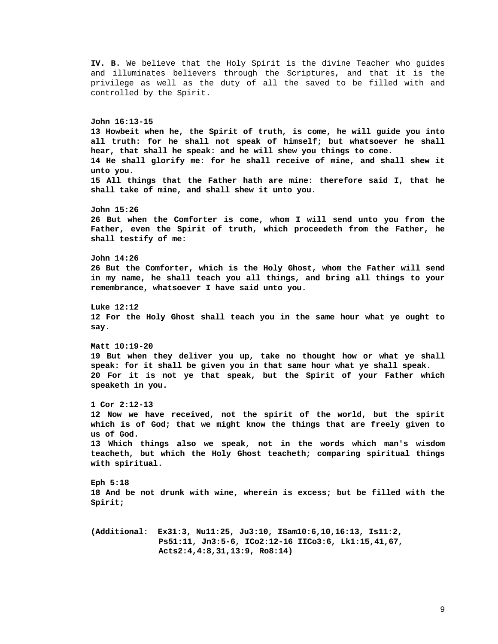**IV. B.** We believe that the Holy Spirit is the divine Teacher who guides and illuminates believers through the Scriptures, and that it is the privilege as well as the duty of all the saved to be filled with and controlled by the Spirit. **John 16:13-15 13 Howbeit when he, the Spirit of truth, is come, he will guide you into all truth: for he shall not speak of himself; but whatsoever he shall hear, that shall he speak: and he will shew you things to come. 14 He shall glorify me: for he shall receive of mine, and shall shew it unto you. 15 All things that the Father hath are mine: therefore said I, that he shall take of mine, and shall shew it unto you. John 15:26 26 But when the Comforter is come, whom I will send unto you from the Father, even the Spirit of truth, which proceedeth from the Father, he shall testify of me: John 14:26 26 But the Comforter, which is the Holy Ghost, whom the Father will send in my name, he shall teach you all things, and bring all things to your remembrance, whatsoever I have said unto you. Luke 12:12 12 For the Holy Ghost shall teach you in the same hour what ye ought to say. Matt 10:19-20 19 But when they deliver you up, take no thought how or what ye shall speak: for it shall be given you in that same hour what ye shall speak. 20 For it is not ye that speak, but the Spirit of your Father which speaketh in you. 1 Cor 2:12-13 12 Now we have received, not the spirit of the world, but the spirit which is of God; that we might know the things that are freely given to us of God. 13 Which things also we speak, not in the words which man's wisdom teacheth, but which the Holy Ghost teacheth; comparing spiritual things with spiritual. Eph 5:18 18 And be not drunk with wine, wherein is excess; but be filled with the Spirit; (Additional: Ex31:3, Nu11:25, Ju3:10, ISam10:6,10,16:13, Is11:2, Ps51:11, Jn3:5-6, ICo2:12-16 IICo3:6, Lk1:15,41,67, Acts2:4,4:8,31,13:9, Ro8:14)**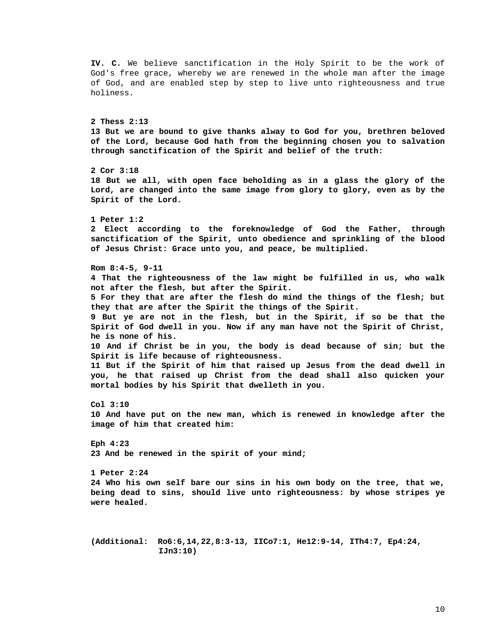**IV. C.** We believe sanctification in the Holy Spirit to be the work of God's free grace, whereby we are renewed in the whole man after the image of God, and are enabled step by step to live unto righteousness and true holiness. **2 Thess 2:13 13 But we are bound to give thanks alway to God for you, brethren beloved of the Lord, because God hath from the beginning chosen you to salvation through sanctification of the Spirit and belief of the truth: 2 Cor 3:18 18 But we all, with open face beholding as in a glass the glory of the Lord, are changed into the same image from glory to glory, even as by the Spirit of the Lord. 1 Peter 1:2 2 Elect according to the foreknowledge of God the Father, through sanctification of the Spirit, unto obedience and sprinkling of the blood of Jesus Christ: Grace unto you, and peace, be multiplied. Rom 8:4-5, 9-11 4 That the righteousness of the law might be fulfilled in us, who walk not after the flesh, but after the Spirit. 5 For they that are after the flesh do mind the things of the flesh; but they that are after the Spirit the things of the Spirit. 9 But ye are not in the flesh, but in the Spirit, if so be that the Spirit of God dwell in you. Now if any man have not the Spirit of Christ, he is none of his. 10 And if Christ be in you, the body is dead because of sin; but the Spirit is life because of righteousness. 11 But if the Spirit of him that raised up Jesus from the dead dwell in you, he that raised up Christ from the dead shall also quicken your mortal bodies by his Spirit that dwelleth in you. Col 3:10 10 And have put on the new man, which is renewed in knowledge after the image of him that created him: Eph 4:23 23 And be renewed in the spirit of your mind; 1 Peter 2:24 24 Who his own self bare our sins in his own body on the tree, that we, being dead to sins, should live unto righteousness: by whose stripes ye were healed. (Additional: Ro6:6,14,22,8:3-13, IICo7:1, He12:9-14, ITh4:7, Ep4:24, IJn3:10)**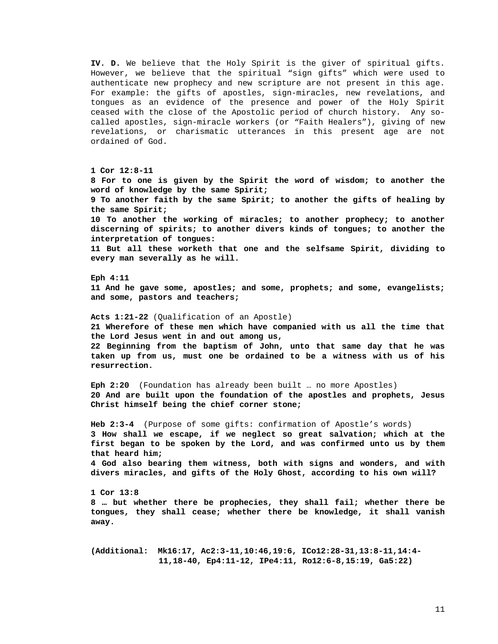**IV. D.** We believe that the Holy Spirit is the giver of spiritual gifts. However, we believe that the spiritual "sign gifts" which were used to authenticate new prophecy and new scripture are not present in this age. For example: the gifts of apostles, sign-miracles, new revelations, and tongues as an evidence of the presence and power of the Holy Spirit ceased with the close of the Apostolic period of church history. Any socalled apostles, sign-miracle workers (or "Faith Healers"), giving of new revelations, or charismatic utterances in this present age are not ordained of God.

**1 Cor 12:8-11 8 For to one is given by the Spirit the word of wisdom; to another the word of knowledge by the same Spirit; 9 To another faith by the same Spirit; to another the gifts of healing by the same Spirit; 10 To another the working of miracles; to another prophecy; to another discerning of spirits; to another divers kinds of tongues; to another the interpretation of tongues: 11 But all these worketh that one and the selfsame Spirit, dividing to every man severally as he will. Eph 4:11 11 And he gave some, apostles; and some, prophets; and some, evangelists; and some, pastors and teachers; Acts 1:21-22** (Qualification of an Apostle) **21 Wherefore of these men which have companied with us all the time that the Lord Jesus went in and out among us, 22 Beginning from the baptism of John, unto that same day that he was taken up from us, must one be ordained to be a witness with us of his resurrection. Eph 2:20** (Foundation has already been built … no more Apostles) **20 And are built upon the foundation of the apostles and prophets, Jesus Christ himself being the chief corner stone; Heb 2:3-4** (Purpose of some gifts: confirmation of Apostle's words) **3 How shall we escape, if we neglect so great salvation; which at the first began to be spoken by the Lord, and was confirmed unto us by them that heard him; 4 God also bearing them witness, both with signs and wonders, and with divers miracles, and gifts of the Holy Ghost, according to his own will? 1 Cor 13:8 8 … but whether there be prophecies, they shall fail; whether there be tongues, they shall cease; whether there be knowledge, it shall vanish away.** 

**(Additional: Mk16:17, Ac2:3-11,10:46,19:6, ICo12:28-31,13:8-11,14:4- 11,18-40, Ep4:11-12, IPe4:11, Ro12:6-8,15:19, Ga5:22)**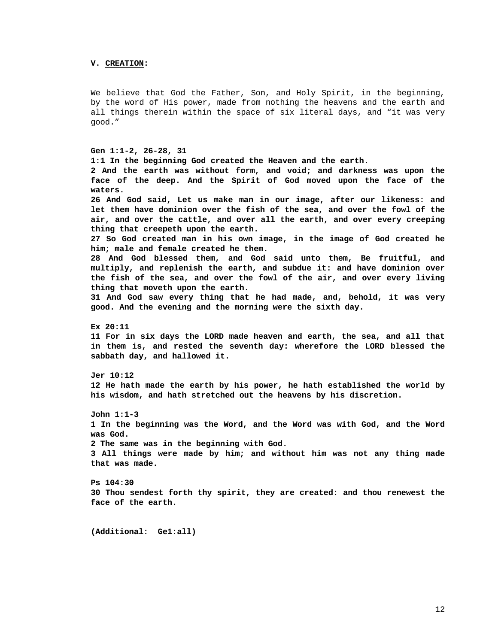# **V. CREATION:**

We believe that God the Father, Son, and Holy Spirit, in the beginning, by the word of His power, made from nothing the heavens and the earth and all things therein within the space of six literal days, and "it was very good."

### **Gen 1:1-2, 26-28, 31**

**1:1 In the beginning God created the Heaven and the earth. 2 And the earth was without form, and void; and darkness was upon the face of the deep. And the Spirit of God moved upon the face of the waters. 26 And God said, Let us make man in our image, after our likeness: and let them have dominion over the fish of the sea, and over the fowl of the air, and over the cattle, and over all the earth, and over every creeping thing that creepeth upon the earth. 27 So God created man in his own image, in the image of God created he him; male and female created he them. 28 And God blessed them, and God said unto them, Be fruitful, and multiply, and replenish the earth, and subdue it: and have dominion over the fish of the sea, and over the fowl of the air, and over every living thing that moveth upon the earth. 31 And God saw every thing that he had made, and, behold, it was very good. And the evening and the morning were the sixth day. Ex 20:11 11 For in six days the LORD made heaven and earth, the sea, and all that in them is, and rested the seventh day: wherefore the LORD blessed the sabbath day, and hallowed it. Jer 10:12 12 He hath made the earth by his power, he hath established the world by his wisdom, and hath stretched out the heavens by his discretion. John 1:1-3 1 In the beginning was the Word, and the Word was with God, and the Word was God. 2 The same was in the beginning with God. 3 All things were made by him; and without him was not any thing made that was made. Ps 104:30 30 Thou sendest forth thy spirit, they are created: and thou renewest the face of the earth.** 

**(Additional: Ge1:all)**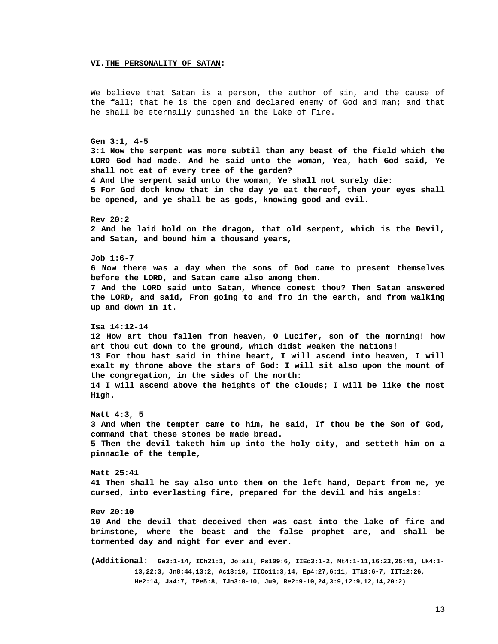#### **VI.THE PERSONALITY OF SATAN:**

We believe that Satan is a person, the author of sin, and the cause of the fall; that he is the open and declared enemy of God and man; and that he shall be eternally punished in the Lake of Fire.

**Gen 3:1, 4-5 3:1 Now the serpent was more subtil than any beast of the field which the LORD God had made. And he said unto the woman, Yea, hath God said, Ye shall not eat of every tree of the garden? 4 And the serpent said unto the woman, Ye shall not surely die: 5 For God doth know that in the day ye eat thereof, then your eyes shall be opened, and ye shall be as gods, knowing good and evil. Rev 20:2 2 And he laid hold on the dragon, that old serpent, which is the Devil, and Satan, and bound him a thousand years, Job 1:6-7 6 Now there was a day when the sons of God came to present themselves before the LORD, and Satan came also among them. 7 And the LORD said unto Satan, Whence comest thou? Then Satan answered the LORD, and said, From going to and fro in the earth, and from walking up and down in it. Isa 14:12-14 12 How art thou fallen from heaven, O Lucifer, son of the morning! how art thou cut down to the ground, which didst weaken the nations! 13 For thou hast said in thine heart, I will ascend into heaven, I will exalt my throne above the stars of God: I will sit also upon the mount of the congregation, in the sides of the north: 14 I will ascend above the heights of the clouds; I will be like the most High.** 

**Matt 4:3, 5 3 And when the tempter came to him, he said, If thou be the Son of God, command that these stones be made bread. 5 Then the devil taketh him up into the holy city, and setteth him on a pinnacle of the temple,** 

**Matt 25:41 41 Then shall he say also unto them on the left hand, Depart from me, ye cursed, into everlasting fire, prepared for the devil and his angels:** 

**Rev 20:10 10 And the devil that deceived them was cast into the lake of fire and brimstone, where the beast and the false prophet are, and shall be tormented day and night for ever and ever.** 

**(Additional: Ge3:1-14, ICh21:1, Jo:all, Ps109:6, IIEc3:1-2, Mt4:1-11,16:23,25:41, Lk4:1- 13,22:3, Jn8:44,13:2, Ac13:10, IICo11:3,14, Ep4:27,6:11, ITi3:6-7, IITi2:26, He2:14, Ja4:7, IPe5:8, IJn3:8-10, Ju9, Re2:9-10,24,3:9,12:9,12,14,20:2)**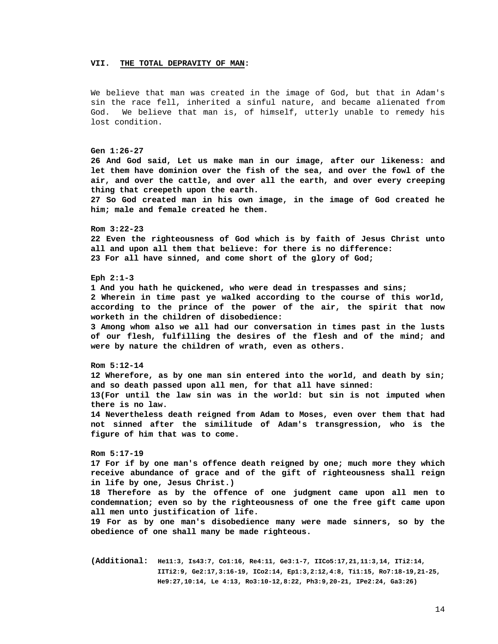#### **VII. THE TOTAL DEPRAVITY OF MAN:**

We believe that man was created in the image of God, but that in Adam's sin the race fell, inherited a sinful nature, and became alienated from God. We believe that man is, of himself, utterly unable to remedy his lost condition.

# **Gen 1:26-27 26 And God said, Let us make man in our image, after our likeness: and let them have dominion over the fish of the sea, and over the fowl of the air, and over the cattle, and over all the earth, and over every creeping thing that creepeth upon the earth. 27 So God created man in his own image, in the image of God created he him; male and female created he them. Rom 3:22-23 22 Even the righteousness of God which is by faith of Jesus Christ unto all and upon all them that believe: for there is no difference: 23 For all have sinned, and come short of the glory of God; Eph 2:1-3 1 And you hath he quickened, who were dead in trespasses and sins; 2 Wherein in time past ye walked according to the course of this world, according to the prince of the power of the air, the spirit that now worketh in the children of disobedience: 3 Among whom also we all had our conversation in times past in the lusts of our flesh, fulfilling the desires of the flesh and of the mind; and were by nature the children of wrath, even as others. Rom 5:12-14 12 Wherefore, as by one man sin entered into the world, and death by sin; and so death passed upon all men, for that all have sinned: 13(For until the law sin was in the world: but sin is not imputed when there is no law. 14 Nevertheless death reigned from Adam to Moses, even over them that had not sinned after the similitude of Adam's transgression, who is the figure of him that was to come. Rom 5:17-19 17 For if by one man's offence death reigned by one; much more they which receive abundance of grace and of the gift of righteousness shall reign in life by one, Jesus Christ.) 18 Therefore as by the offence of one judgment came upon all men to condemnation; even so by the righteousness of one the free gift came upon all men unto justification of life. 19 For as by one man's disobedience many were made sinners, so by the obedience of one shall many be made righteous.**

**(Additional: He11:3, Is43:7, Co1:16, Re4:11, Ge3:1-7, IICo5:17,21,11:3,14, ITi2:14, IITi2:9, Ge2:17,3:16-19, ICo2:14, Ep1:3,2:12,4:8, Ti1:15, Ro7:18-19,21-25, He9:27,10:14, Le 4:13, Ro3:10-12,8:22, Ph3:9,20-21, IPe2:24, Ga3:26)**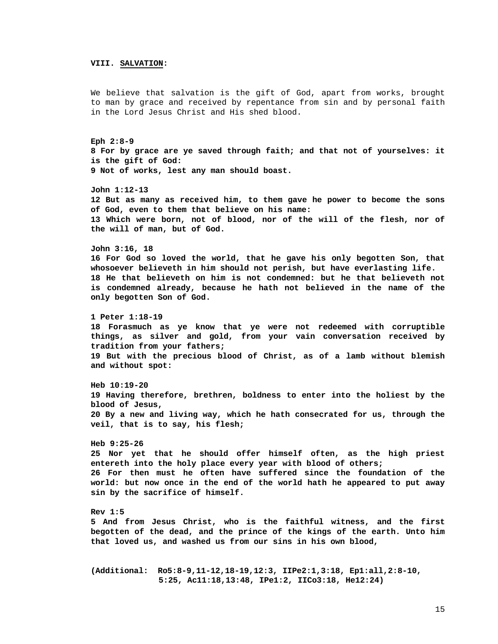# **VIII. SALVATION:**

We believe that salvation is the gift of God, apart from works, brought to man by grace and received by repentance from sin and by personal faith in the Lord Jesus Christ and His shed blood.

**Eph 2:8-9 8 For by grace are ye saved through faith; and that not of yourselves: it is the gift of God: 9 Not of works, lest any man should boast.** 

**John 1:12-13 12 But as many as received him, to them gave he power to become the sons of God, even to them that believe on his name: 13 Which were born, not of blood, nor of the will of the flesh, nor of the will of man, but of God.** 

**John 3:16, 18** 

**16 For God so loved the world, that he gave his only begotten Son, that whosoever believeth in him should not perish, but have everlasting life. 18 He that believeth on him is not condemned: but he that believeth not is condemned already, because he hath not believed in the name of the only begotten Son of God.** 

**1 Peter 1:18-19 18 Forasmuch as ye know that ye were not redeemed with corruptible things, as silver and gold, from your vain conversation received by tradition from your fathers; 19 But with the precious blood of Christ, as of a lamb without blemish and without spot:** 

**Heb 10:19-20 19 Having therefore, brethren, boldness to enter into the holiest by the blood of Jesus, 20 By a new and living way, which he hath consecrated for us, through the veil, that is to say, his flesh;** 

**Heb 9:25-26 25 Nor yet that he should offer himself often, as the high priest entereth into the holy place every year with blood of others; 26 For then must he often have suffered since the foundation of the world: but now once in the end of the world hath he appeared to put away sin by the sacrifice of himself.** 

**Rev 1:5 5 And from Jesus Christ, who is the faithful witness, and the first begotten of the dead, and the prince of the kings of the earth. Unto him that loved us, and washed us from our sins in his own blood,** 

**(Additional: Ro5:8-9,11-12,18-19,12:3, IIPe2:1,3:18, Ep1:all,2:8-10, 5:25, Ac11:18,13:48, IPe1:2, IICo3:18, He12:24)**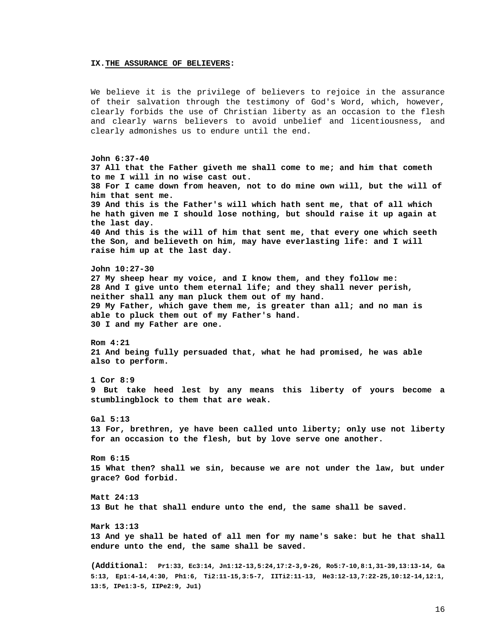#### **IX.THE ASSURANCE OF BELIEVERS:**

**13:5, IPe1:3-5, IIPe2:9, Ju1)**

We believe it is the privilege of believers to rejoice in the assurance of their salvation through the testimony of God's Word, which, however, clearly forbids the use of Christian liberty as an occasion to the flesh and clearly warns believers to avoid unbelief and licentiousness, and clearly admonishes us to endure until the end.

**John 6:37-40 37 All that the Father giveth me shall come to me; and him that cometh to me I will in no wise cast out. 38 For I came down from heaven, not to do mine own will, but the will of him that sent me. 39 And this is the Father's will which hath sent me, that of all which he hath given me I should lose nothing, but should raise it up again at the last day. 40 And this is the will of him that sent me, that every one which seeth the Son, and believeth on him, may have everlasting life: and I will raise him up at the last day. John 10:27-30 27 My sheep hear my voice, and I know them, and they follow me: 28 And I give unto them eternal life; and they shall never perish, neither shall any man pluck them out of my hand. 29 My Father, which gave them me, is greater than all; and no man is able to pluck them out of my Father's hand. 30 I and my Father are one. Rom 4:21 21 And being fully persuaded that, what he had promised, he was able also to perform. 1 Cor 8:9 9 But take heed lest by any means this liberty of yours become a stumblingblock to them that are weak. Gal 5:13 13 For, brethren, ye have been called unto liberty; only use not liberty for an occasion to the flesh, but by love serve one another. Rom 6:15 15 What then? shall we sin, because we are not under the law, but under grace? God forbid. Matt 24:13 13 But he that shall endure unto the end, the same shall be saved. Mark 13:13 13 And ye shall be hated of all men for my name's sake: but he that shall endure unto the end, the same shall be saved. (Additional: Pr1:33, Ec3:14, Jn1:12-13,5:24,17:2-3,9-26, Ro5:7-10,8:1,31-39,13:13-14, Ga 5:13, Ep1:4-14,4:30, Ph1:6, Ti2:11-15,3:5-7, IITi2:11-13, He3:12-13,7:22-25,10:12-14,12:1,**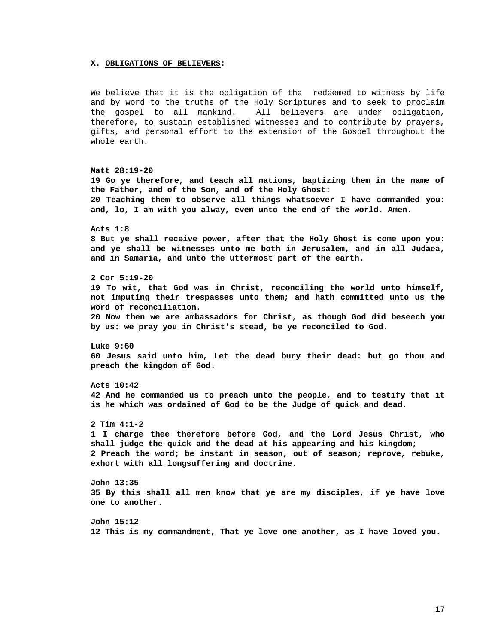#### **X. OBLIGATIONS OF BELIEVERS:**

We believe that it is the obligation of the redeemed to witness by life and by word to the truths of the Holy Scriptures and to seek to proclaim the gospel to all mankind. All believers are under obligation, therefore, to sustain established witnesses and to contribute by prayers, gifts, and personal effort to the extension of the Gospel throughout the whole earth.

**Matt 28:19-20 19 Go ye therefore, and teach all nations, baptizing them in the name of the Father, and of the Son, and of the Holy Ghost: 20 Teaching them to observe all things whatsoever I have commanded you: and, lo, I am with you alway, even unto the end of the world. Amen. Acts 1:8 8 But ye shall receive power, after that the Holy Ghost is come upon you: and ye shall be witnesses unto me both in Jerusalem, and in all Judaea, and in Samaria, and unto the uttermost part of the earth. 2 Cor 5:19-20 19 To wit, that God was in Christ, reconciling the world unto himself, not imputing their trespasses unto them; and hath committed unto us the word of reconciliation. 20 Now then we are ambassadors for Christ, as though God did beseech you by us: we pray you in Christ's stead, be ye reconciled to God. Luke 9:60 60 Jesus said unto him, Let the dead bury their dead: but go thou and preach the kingdom of God. Acts 10:42 42 And he commanded us to preach unto the people, and to testify that it is he which was ordained of God to be the Judge of quick and dead. 2 Tim 4:1-2 1 I charge thee therefore before God, and the Lord Jesus Christ, who shall judge the quick and the dead at his appearing and his kingdom; 2 Preach the word; be instant in season, out of season; reprove, rebuke, exhort with all longsuffering and doctrine. John 13:35 35 By this shall all men know that ye are my disciples, if ye have love one to another. John 15:12 12 This is my commandment, That ye love one another, as I have loved you.**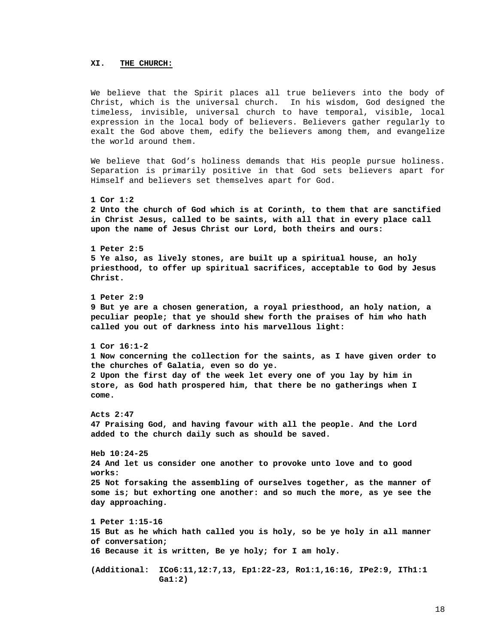# **XI. THE CHURCH:**

We believe that the Spirit places all true believers into the body of Christ, which is the universal church. In his wisdom, God designed the timeless, invisible, universal church to have temporal, visible, local expression in the local body of believers. Believers gather regularly to exalt the God above them, edify the believers among them, and evangelize the world around them.

We believe that God's holiness demands that His people pursue holiness. Separation is primarily positive in that God sets believers apart for Himself and believers set themselves apart for God.

**1 Cor 1:2 2 Unto the church of God which is at Corinth, to them that are sanctified in Christ Jesus, called to be saints, with all that in every place call upon the name of Jesus Christ our Lord, both theirs and ours: 1 Peter 2:5 5 Ye also, as lively stones, are built up a spiritual house, an holy priesthood, to offer up spiritual sacrifices, acceptable to God by Jesus Christ. 1 Peter 2:9 9 But ye are a chosen generation, a royal priesthood, an holy nation, a peculiar people; that ye should shew forth the praises of him who hath called you out of darkness into his marvellous light: 1 Cor 16:1-2 1 Now concerning the collection for the saints, as I have given order to the churches of Galatia, even so do ye. 2 Upon the first day of the week let every one of you lay by him in store, as God hath prospered him, that there be no gatherings when I come. Acts 2:47 47 Praising God, and having favour with all the people. And the Lord added to the church daily such as should be saved. Heb 10:24-25 24 And let us consider one another to provoke unto love and to good works: 25 Not forsaking the assembling of ourselves together, as the manner of some is; but exhorting one another: and so much the more, as ye see the day approaching. 1 Peter 1:15-16** 

```
15 But as he which hath called you is holy, so be ye holy in all manner 
of conversation; 
16 Because it is written, Be ye holy; for I am holy. 
(Additional: ICo6:11,12:7,13, Ep1:22-23, Ro1:1,16:16, IPe2:9, ITh1:1
```
 **Ga1:2)**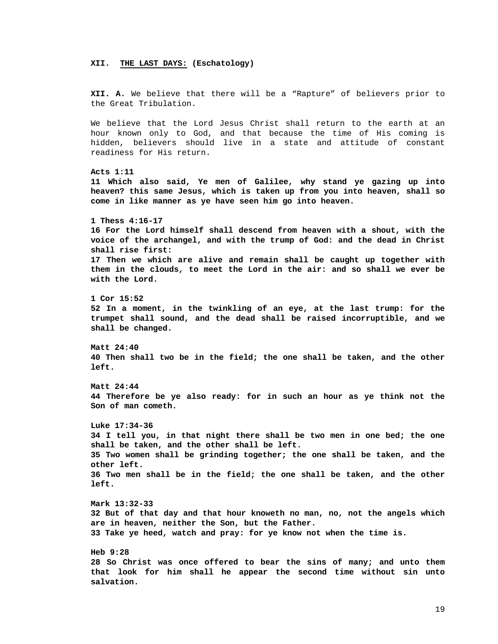#### **XII. THE LAST DAYS: (Eschatology)**

**XII. A.** We believe that there will be a "Rapture" of believers prior to the Great Tribulation.

We believe that the Lord Jesus Christ shall return to the earth at an hour known only to God, and that because the time of His coming is hidden, believers should live in a state and attitude of constant readiness for His return.

**Acts 1:11 11 Which also said, Ye men of Galilee, why stand ye gazing up into heaven? this same Jesus, which is taken up from you into heaven, shall so come in like manner as ye have seen him go into heaven. 1 Thess 4:16-17 16 For the Lord himself shall descend from heaven with a shout, with the voice of the archangel, and with the trump of God: and the dead in Christ shall rise first: 17 Then we which are alive and remain shall be caught up together with them in the clouds, to meet the Lord in the air: and so shall we ever be with the Lord.** 

**1 Cor 15:52 52 In a moment, in the twinkling of an eye, at the last trump: for the trumpet shall sound, and the dead shall be raised incorruptible, and we shall be changed.** 

**Matt 24:40 40 Then shall two be in the field; the one shall be taken, and the other left.** 

**Matt 24:44 44 Therefore be ye also ready: for in such an hour as ye think not the Son of man cometh.** 

**Luke 17:34-36 34 I tell you, in that night there shall be two men in one bed; the one shall be taken, and the other shall be left. 35 Two women shall be grinding together; the one shall be taken, and the other left. 36 Two men shall be in the field; the one shall be taken, and the other left. Mark 13:32-33** 

**32 But of that day and that hour knoweth no man, no, not the angels which are in heaven, neither the Son, but the Father. 33 Take ye heed, watch and pray: for ye know not when the time is.** 

**Heb 9:28 28 So Christ was once offered to bear the sins of many; and unto them that look for him shall he appear the second time without sin unto salvation.**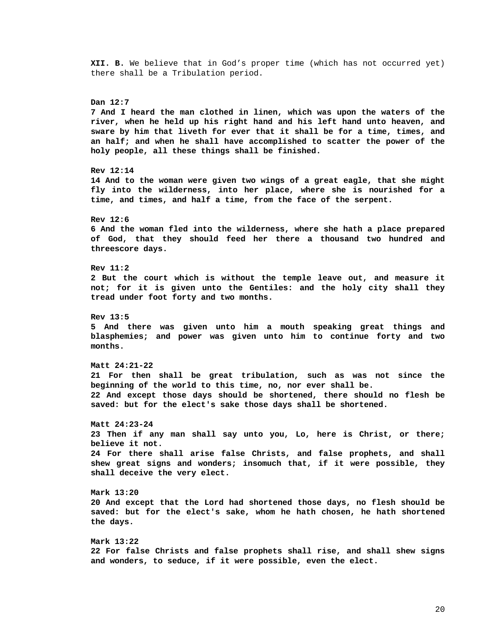**XII. B.** We believe that in God's proper time (which has not occurred yet) there shall be a Tribulation period.

**Dan 12:7 7 And I heard the man clothed in linen, which was upon the waters of the river, when he held up his right hand and his left hand unto heaven, and sware by him that liveth for ever that it shall be for a time, times, and an half; and when he shall have accomplished to scatter the power of the holy people, all these things shall be finished. Rev 12:14 14 And to the woman were given two wings of a great eagle, that she might fly into the wilderness, into her place, where she is nourished for a time, and times, and half a time, from the face of the serpent. Rev 12:6 6 And the woman fled into the wilderness, where she hath a place prepared of God, that they should feed her there a thousand two hundred and threescore days. Rev 11:2 2 But the court which is without the temple leave out, and measure it not; for it is given unto the Gentiles: and the holy city shall they tread under foot forty and two months. Rev 13:5 5 And there was given unto him a mouth speaking great things and blasphemies; and power was given unto him to continue forty and two months. Matt 24:21-22 21 For then shall be great tribulation, such as was not since the beginning of the world to this time, no, nor ever shall be. 22 And except those days should be shortened, there should no flesh be saved: but for the elect's sake those days shall be shortened. Matt 24:23-24 23 Then if any man shall say unto you, Lo, here is Christ, or there; believe it not. 24 For there shall arise false Christs, and false prophets, and shall shew great signs and wonders; insomuch that, if it were possible, they shall deceive the very elect. Mark 13:20 20 And except that the Lord had shortened those days, no flesh should be saved: but for the elect's sake, whom he hath chosen, he hath shortened the days. Mark 13:22 22 For false Christs and false prophets shall rise, and shall shew signs** 

**and wonders, to seduce, if it were possible, even the elect.**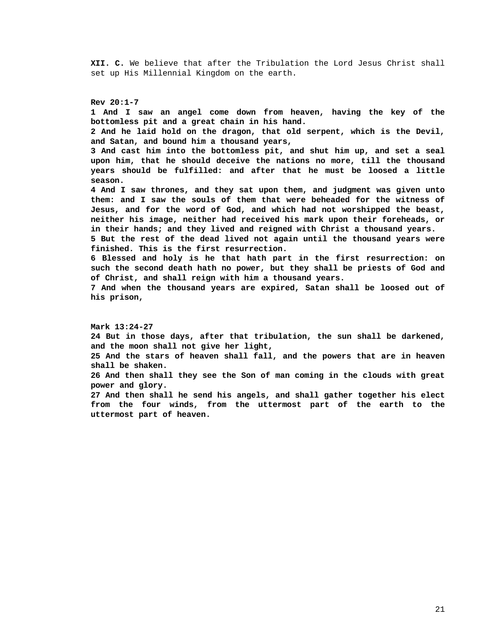**XII. C.** We believe that after the Tribulation the Lord Jesus Christ shall set up His Millennial Kingdom on the earth.

**Rev 20:1-7 1 And I saw an angel come down from heaven, having the key of the bottomless pit and a great chain in his hand. 2 And he laid hold on the dragon, that old serpent, which is the Devil, and Satan, and bound him a thousand years, 3 And cast him into the bottomless pit, and shut him up, and set a seal upon him, that he should deceive the nations no more, till the thousand years should be fulfilled: and after that he must be loosed a little season. 4 And I saw thrones, and they sat upon them, and judgment was given unto them: and I saw the souls of them that were beheaded for the witness of Jesus, and for the word of God, and which had not worshipped the beast, neither his image, neither had received his mark upon their foreheads, or in their hands; and they lived and reigned with Christ a thousand years. 5 But the rest of the dead lived not again until the thousand years were finished. This is the first resurrection. 6 Blessed and holy is he that hath part in the first resurrection: on such the second death hath no power, but they shall be priests of God and of Christ, and shall reign with him a thousand years. 7 And when the thousand years are expired, Satan shall be loosed out of his prison, Mark 13:24-27 24 But in those days, after that tribulation, the sun shall be darkened, and the moon shall not give her light, 25 And the stars of heaven shall fall, and the powers that are in heaven shall be shaken. 26 And then shall they see the Son of man coming in the clouds with great power and glory. 27 And then shall he send his angels, and shall gather together his elect from the four winds, from the uttermost part of the earth to the** 

**uttermost part of heaven.**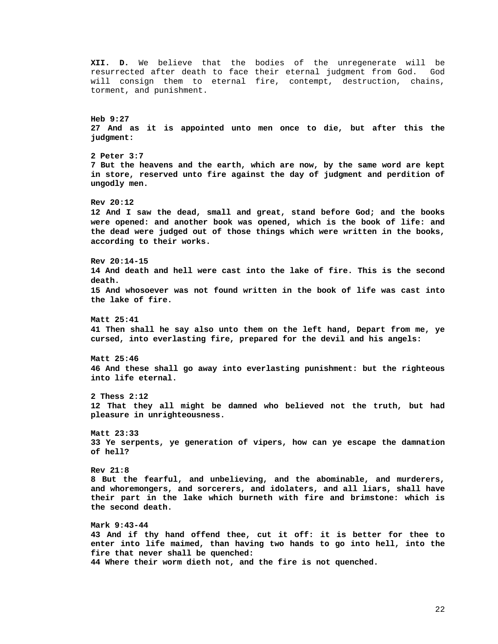**XII. D.** We believe that the bodies of the unregenerate will be resurrected after death to face their eternal judgment from God. God will consign them to eternal fire, contempt, destruction, chains, torment, and punishment. **Heb 9:27 27 And as it is appointed unto men once to die, but after this the judgment: 2 Peter 3:7 7 But the heavens and the earth, which are now, by the same word are kept in store, reserved unto fire against the day of judgment and perdition of ungodly men. Rev 20:12 12 And I saw the dead, small and great, stand before God; and the books were opened: and another book was opened, which is the book of life: and the dead were judged out of those things which were written in the books, according to their works. Rev 20:14-15 14 And death and hell were cast into the lake of fire. This is the second death. 15 And whosoever was not found written in the book of life was cast into the lake of fire. Matt 25:41 41 Then shall he say also unto them on the left hand, Depart from me, ye cursed, into everlasting fire, prepared for the devil and his angels: Matt 25:46 46 And these shall go away into everlasting punishment: but the righteous into life eternal. 2 Thess 2:12 12 That they all might be damned who believed not the truth, but had pleasure in unrighteousness. Matt 23:33 33 Ye serpents, ye generation of vipers, how can ye escape the damnation of hell? Rev 21:8 8 But the fearful, and unbelieving, and the abominable, and murderers, and whoremongers, and sorcerers, and idolaters, and all liars, shall have their part in the lake which burneth with fire and brimstone: which is the second death. Mark 9:43-44 43 And if thy hand offend thee, cut it off: it is better for thee to enter into life maimed, than having two hands to go into hell, into the fire that never shall be quenched:**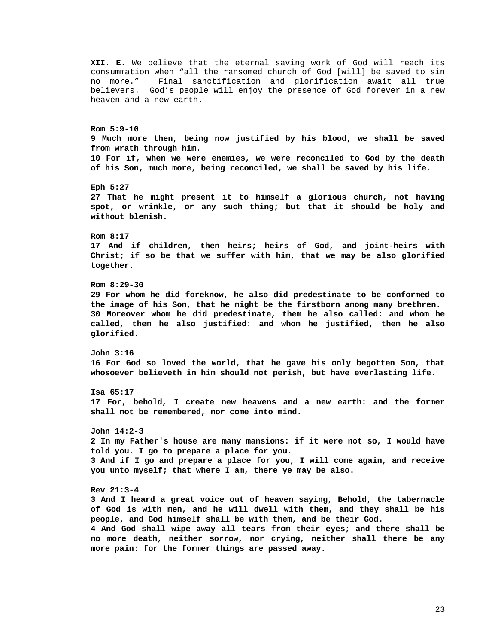consummation when "all the ransomed church of God [will] be saved to sin no more." Final sanctification and glorification await all true believers. God's people will enjoy the presence of God forever in a new heaven and a new earth. **Rom 5:9-10 9 Much more then, being now justified by his blood, we shall be saved from wrath through him. 10 For if, when we were enemies, we were reconciled to God by the death of his Son, much more, being reconciled, we shall be saved by his life. Eph 5:27 27 That he might present it to himself a glorious church, not having spot, or wrinkle, or any such thing; but that it should be holy and without blemish. Rom 8:17 17 And if children, then heirs; heirs of God, and joint-heirs with Christ; if so be that we suffer with him, that we may be also glorified together. Rom 8:29-30 29 For whom he did foreknow, he also did predestinate to be conformed to the image of his Son, that he might be the firstborn among many brethren. 30 Moreover whom he did predestinate, them he also called: and whom he called, them he also justified: and whom he justified, them he also glorified. John 3:16 16 For God so loved the world, that he gave his only begotten Son, that whosoever believeth in him should not perish, but have everlasting life. Isa 65:17 17 For, behold, I create new heavens and a new earth: and the former shall not be remembered, nor come into mind. John 14:2-3 2 In my Father's house are many mansions: if it were not so, I would have told you. I go to prepare a place for you. 3 And if I go and prepare a place for you, I will come again, and receive you unto myself; that where I am, there ye may be also. Rev 21:3-4 3 And I heard a great voice out of heaven saying, Behold, the tabernacle of God is with men, and he will dwell with them, and they shall be his people, and God himself shall be with them, and be their God. 4 And God shall wipe away all tears from their eyes; and there shall be no more death, neither sorrow, nor crying, neither shall there be any more pain: for the former things are passed away.** 

**XII. E.** We believe that the eternal saving work of God will reach its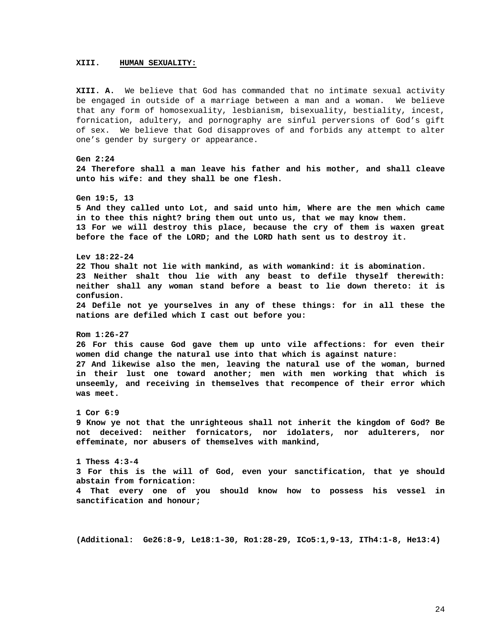# **XIII. HUMAN SEXUALITY:**

**XIII. A.** We believe that God has commanded that no intimate sexual activity be engaged in outside of a marriage between a man and a woman. We believe that any form of homosexuality, lesbianism, bisexuality, bestiality, incest, fornication, adultery, and pornography are sinful perversions of God's gift of sex. We believe that God disapproves of and forbids any attempt to alter one's gender by surgery or appearance.

**Gen 2:24 24 Therefore shall a man leave his father and his mother, and shall cleave unto his wife: and they shall be one flesh. Gen 19:5, 13 5 And they called unto Lot, and said unto him, Where are the men which came in to thee this night? bring them out unto us, that we may know them. 13 For we will destroy this place, because the cry of them is waxen great before the face of the LORD; and the LORD hath sent us to destroy it. Lev 18:22-24 22 Thou shalt not lie with mankind, as with womankind: it is abomination. 23 Neither shalt thou lie with any beast to defile thyself therewith: neither shall any woman stand before a beast to lie down thereto: it is confusion. 24 Defile not ye yourselves in any of these things: for in all these the nations are defiled which I cast out before you: Rom 1:26-27 26 For this cause God gave them up unto vile affections: for even their women did change the natural use into that which is against nature: 27 And likewise also the men, leaving the natural use of the woman, burned in their lust one toward another; men with men working that which is unseemly, and receiving in themselves that recompence of their error which was meet. 1 Cor 6:9 9 Know ye not that the unrighteous shall not inherit the kingdom of God? Be not deceived: neither fornicators, nor idolaters, nor adulterers, nor effeminate, nor abusers of themselves with mankind,** 

**1 Thess 4:3-4 3 For this is the will of God, even your sanctification, that ye should abstain from fornication: 4 That every one of you should know how to possess his vessel in sanctification and honour;** 

**(Additional: Ge26:8-9, Le18:1-30, Ro1:28-29, ICo5:1,9-13, ITh4:1-8, He13:4)**